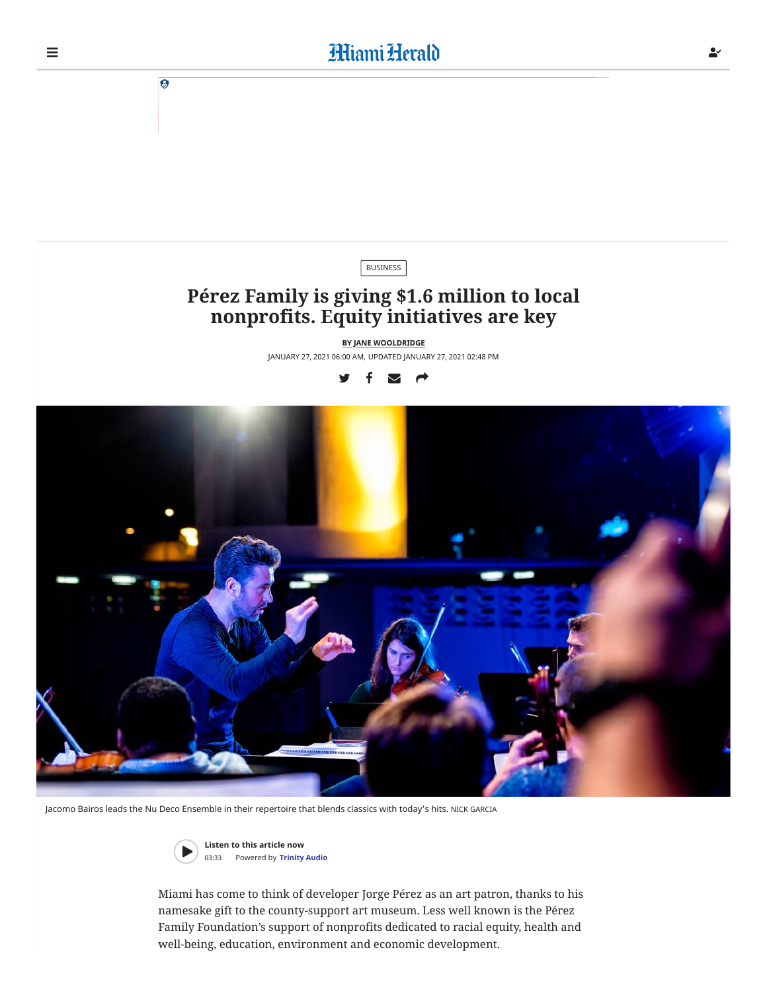

Jacomo Bairos leads the Nu Deco Ensemble in their repertoire that blends classics with today's hits. NICK GARCIA



**Listen to this article now** 03:33 Powered by **[Trinity Audio](https://trinityaudio.ai/?utm_source=https%3A%2F%2Fwww.miamiherald.com&utm_medium=player%2520lin)**

Miami has come to think of developer Jorge Pérez as an art patron, thanks to his namesake gift to the county-support art museum. Less well known is the Pérez Family Foundation's support of nonprofits dedicated to racial equity, health and well-being, education, environment and economic development.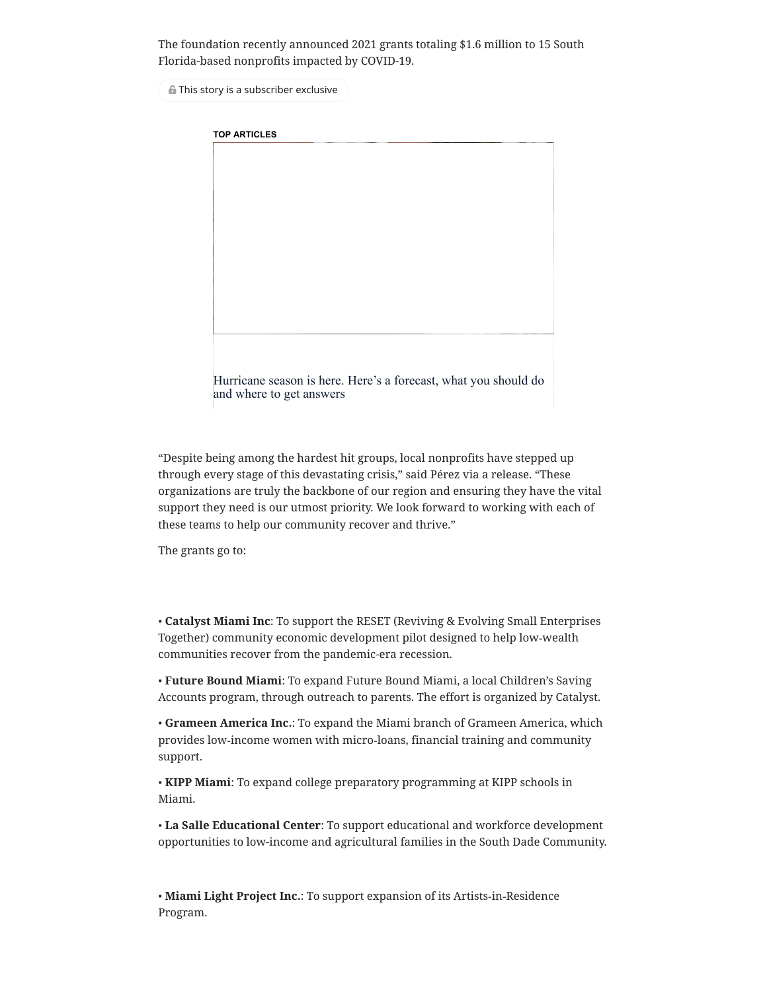The foundation recently announced 2021 grants totaling \$1.6 million to 15 South Florida-based nonprofits impacted by COVID-19.

This story is a subscriber exclusive

**TOP ARTICLES**

[Hurricane](https://www.miamiherald.com/news/weather/hurricane/article251810728.html?traffic_source=Connatix#intcid=connatix) season is here. Here's a forecast, what you should do and where to get answers

"Despite being among the hardest hit groups, local nonprofits have stepped up through every stage of this devastating crisis," said Pérez via a release. "These organizations are truly the backbone of our region and ensuring they have the vital support they need is our utmost priority. We look forward to working with each of these teams to help our community recover and thrive."

The grants go to:

▪ **Catalyst Miami Inc**: To support the RESET (Reviving & Evolving Small Enterprises Together) community economic development pilot designed to help low‐wealth communities recover from the pandemic-era recession.

▪ **Future Bound Miami**: To expand Future Bound Miami, a local Children's Saving Accounts program, through outreach to parents. The effort is organized by Catalyst.

▪ **Grameen America Inc.**: To expand the Miami branch of Grameen America, which provides low‐income women with micro‐loans, financial training and community support.

▪ **KIPP Miami**: To expand college preparatory programming at KIPP schools in Miami.

▪ **La Salle Educational Center**: To support educational and workforce development opportunities to low-income and agricultural families in the South Dade Community.

▪ **Miami Light Project Inc.**: To support expansion of its Artists‐in‐Residence Program.